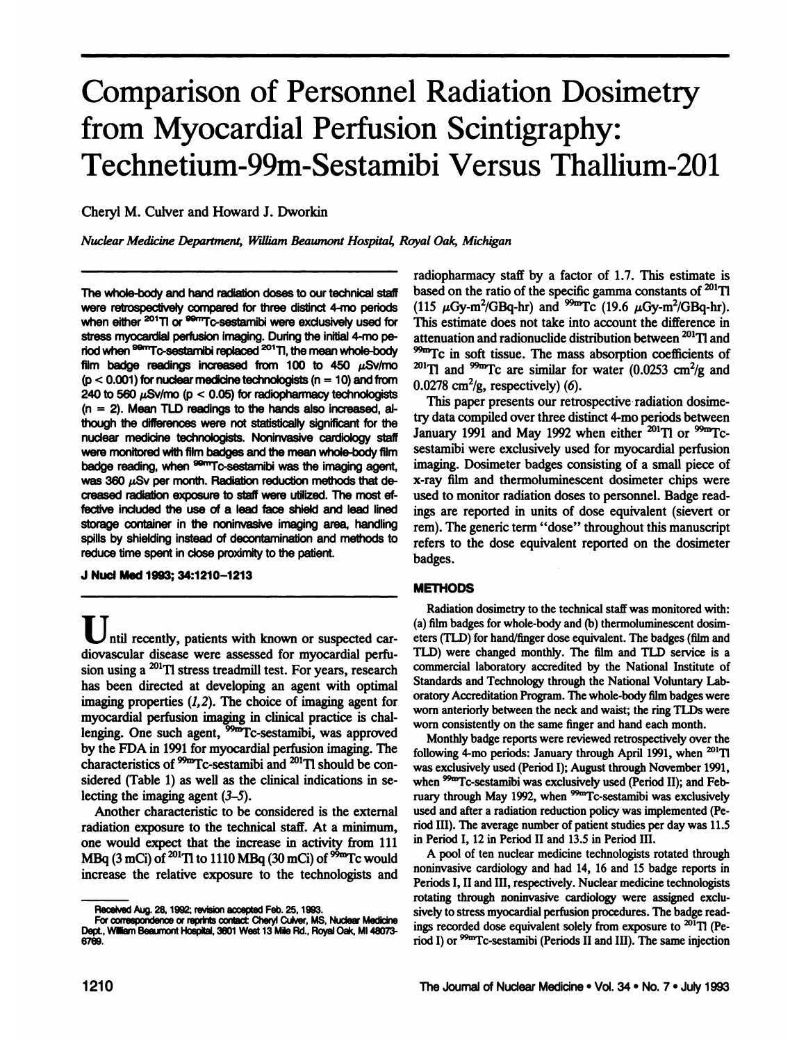# **Comparison of Personnel Radiation Dosimetry from Myocardial Perfusion Scintigraphy: Technetium-99m-Sestamibi Versus Thallium-201**

Cheryl M. Culver and Howard J. Dworkin

*Nuclear Medicine Depamnent, William &aumont Hospita4 Royal Oak, Michigan*

The whole-body and hand radiation doses to our technical staff were retrospectively compared for three distinct 4-mo periods when either <sup>201</sup>TI or <sup>99mT</sup>C-sestamibi were exclusively used for stress myocardial perfusion imaging. During the initial 4-mo period when <sup>99m</sup>Tc-sestamibi replaced <sup>201</sup>Tl, the mean whole-body film badge readings increased from 100 to 450  $\mu$ Sv/mo  $(p < 0.001)$  for nuclear medicine technologists (n = 10) and from 240 to 560  $\mu$ Sv/mo (p < 0.05) for radiopharmacy technologists **(n = 2). Mean TLD reedings to the hands atso increased, at** though the differences were not statistically significant for the nuclear medicine technologists. Noninvasive cardiology staff were monitored with film badges and the mean whole-body film badge reading, when <sup>sem</sup>Tc-sestamibi was the imaging agent, was 360  $\mu$ Sv per month. Radiation reduction methods that decreased radiation exposure to staff were utilized. The most effective included the use of a lead face shield and lead lined storage container in the noninvasive imaging area, handling spills by shielding instead of decontamination and methods to reduce time spent in close proximity to the patient.

#### **J NucIMed1993;34:1210—1213**

ntil recently, patients with known or suspected car **diovascular disease were assessed for myocardial perfu sion using a 20111stress treadmilltest. For years, research has been directed at developing an agent with optimal** imaging properties  $(1, 2)$ . The choice of imaging agent for **myocardial perfusion imaging in clinical practice is chal lenging. One such agent, @Tc-sestamibi,was approved** by the FDA in 1991 for myocardial perfusion imaging. The **characteristics of @Tc-sestamibi and @°'Tl should be con sidered (Table 1) as well as the clinical indications in se** lecting the imaging agent  $(3-5)$ .

**Another characteristic to be considered is the external radiation exposure to the technical staff. At a minimum, one would expect that the increase in activity from 111** MBq (3 mCi) of  $^{201}$ Tl to 1110 MBq (30 mCi) of  $^{99m}$ Tc would increase the relative exposure to the technologists and

radiopharmacy staff by a factor of 1.7. This estimate is based on the ratio of the specific gamma constants of  $^{201}$ Tl  $(115 \mu Gy-m^2/GBq-hr)$  and <sup>99m</sup>Tc  $(19.6 \mu Gy-m^2/GBq-hr)$ . This estimate does not take into account the difference in **attenuationandradionuclidedistributionbetween @°'Tl and** <sup>99m</sup>Tc in soft tissue. The mass absorption coefficients of  $^{201}$ Tl and <sup>99m</sup>Tc are similar for water (0.0253 cm<sup>2</sup>/g and **0.0278 cm2/g, respectively) (6).**

This paper presents our retrospective radiation dosimetry data compiled over three distinct 4-mo periods between January 1991 and May 1992 when either <sup>201</sup>Tl or <sup>99m</sup>Tc**sestamibi were exclusively used for myocardial perfusion** imaging. Dosimeter badges consisting of a small piece of **x-ray film and thermoluminescent dosimeter chips were used** to monitor radiation doses to personnel. Badge readings are reported in units of dose equivalent (sievert or **rem).** The generic term "dose" throughout this manuscript **refers to the dose equivalent reported on the dosimeter badges.**

## **METHODS**

**Radiation dosimetry to the technical staff was monitored with: (a)filmbadgesforwhole-body and (b) thermoluminescentdosim** eters (TLD) for hand/finger dose equivalent. The badges (film and TLD) were changed monthly. The film and TLD service is a **commercial laboratoiy accredited by the National Institute of** Standards and Technology through the National Voluntary Lab**oratoiy Accreditation Program. The whole-body film badges were** worn anteriorly between the neck and waist; the ring TLDs were worn consistently on the same finger and hand each month.

Monthly badge reports were reviewed retrospectively over the following 4-mo periods: January through April 1991, when <sup>201</sup>Tl was exclusively used (Period I); August through November 1991, when <sup>99m</sup>Tc-sestamibi was exclusively used (Period II); and February through May 1992, when <sup>99m</sup>Tc-sestamibi was exclusively used and after a radiation reduction policy was implemented (Period III). The average number of patient studies per day was 11.5 **inPeriodI, 12inPeriodII and13.5inPeriodIII.**

**A pool of ten nuclear medicine technologists rotated through noninvasive cardiology and had 14, 16 and 15 badge reports in Periods I,II and HI, respectively. Nuclear medicine technologists rotating through noninvasive cardiology were assigned exclu** sively to stress myocardial perfusion procedures. The badge readings recorded dose equivalent solely from exposure to  $^{201}$ Tl (Period I) or <sup>99m</sup>Tc-sestamibi (Periods II and III). The same injection

Received Aug. 28, 1992; revision accepted Feb. 25, 1993.

For correspondence or reprints contact: Cheryl Culver, MS, Nuclear Medicine Dept., William Beaumont Hospital, 3601 West 13 Mile Rd., Royal Oak, MI 48073-6769.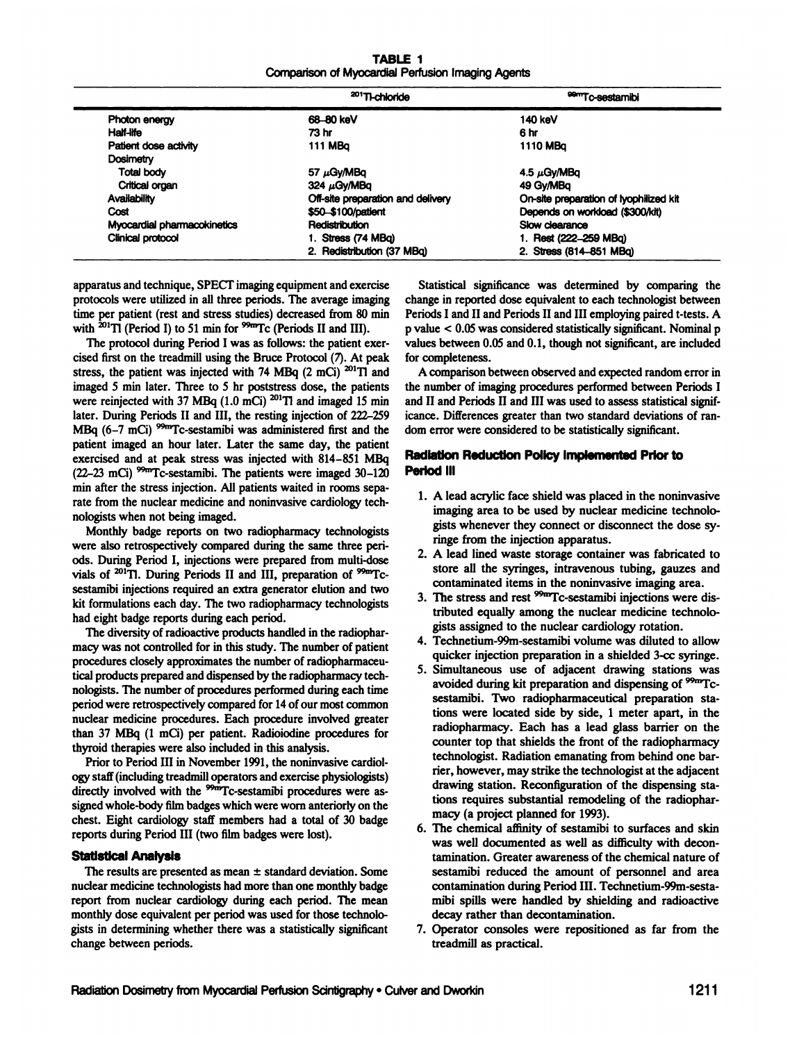TABLE I Comparison of Myocardial Perfusion Imaging Agents

|                             | <sup>201</sup> TI-chloride        | <sup>99m</sup> Tc-sestamibi            |  |
|-----------------------------|-----------------------------------|----------------------------------------|--|
| Photon energy               | 68-80 keV                         | 140 keV                                |  |
| Half-life                   | 73 hr                             | 6 hr                                   |  |
| Patient dose activity       | 111 MBa                           | 1110 MBa                               |  |
| Dosimetry                   |                                   |                                        |  |
| Total body                  | 57 $\mu$ Gy/MBq                   | 4.5 $\mu$ Gy/MBq                       |  |
| Critical organ              | 324 $\mu$ Gy/MBa                  | 49 Gy/MBg                              |  |
| Availability                | Off-site preparation and delivery | On-site preparation of lyophilized kit |  |
| Cost                        | \$50 \$100/patient                | Depends on workload (\$300/kit)        |  |
| Myocardial pharmacokinetics | Redistribution                    | Slow clearance                         |  |
| Clinical protocol           | 1. Stress (74 MBa)                | 1. Rest (222-259 MBq)                  |  |
|                             | 2. Redistribution (37 MBq)        | 2. Stress (814-851 MBq)                |  |

**apparatusandtechnique, SPECTimagingequipmentandexercise protocols were utilized in all three periods. The average imaging** time per patient (rest and stress studies) decreased from 80 min with  ${}^{201}$ Tl (Period I) to 51 min for  ${}^{99m}$ Tc (Periods II and III).

The protocol during Period I was as follows: the patient exer**cised first on the treadmillusing the Bruce Protocol (7) At peak stress, the patient was injected with 74 MBq (2 mCi) @°'T1 and imaged 5 miii later. Three to 5 hr poststress dose, the patients were reinjectedwith 37 MBq (1.0 mCi) @°'TI and imaged 15 mis later. During Periods II and III, the resting injection of 222—259** MBq  $(6-7 \text{ mCi})$  <sup>99m</sup>Tc-sestamibi was administered first and the **patient imaged an hour later. Later the same day, the patient exercised and at peak stress was injected with 814—851MBq** (22-23 mCi)  $^{99m}$ Tc-sestamibi. The patients were imaged 30-120 **miii after the stress injection. All patients waited in rooms sepa** rate from the nuclear medicine and noninvasive cardiology tech**nologists when not being imaged.**

Monthly badge reports on two radiopharmacy technologists were also retrospectively compared during the same three periods. During Period I, injections were prepared from multi-dose vials of <sup>201</sup>Tl. During Periods II and III, preparation of <sup>99m</sup>Tc**sestamibi injections requiredan extra generator elution and two** kit formulations each day. The two radiopharmacy technologists **had eight badge reports duringeach period.**

The diversity of radioactive products handled in the radiopharmacy was not controlled for in this study. The number of patient **procedures closely approximatesthe numberof radiopharmaceu** tical products prepared and dispensed by the radiopharmacy technologists. The number of procedures performed during each time period were retrospectively compared for 14 of our most common **nuclear medicine procedures. Each procedure involved greater** than 37 MBq (1 mCi) per patient. Radioiodine procedures for **thyroid therapieswere also included in this analysis.**

Prior to Period III in November 1991, the noninvasive cardiology staff (including treadmill operators and exercise physiologists) directly involved with the <sup>99m</sup>Tc-sestamibi procedures were assigned whole-body film badges which were worn anteriorly on the **chest. Eight cardiology staff members had a total of 30 badge** reports during Period III (two film badges were lost).

#### Statistical AnalysIs

The results are presented as mean  $\pm$  standard deviation. Some nuclear medicine technologists had more than one monthly badge report from nuclear cardiology during each period. The mean monthly dose equivalent per period was used for those technolo**gists in determiningwhether there was a statistically significant change between periods.**

Statistical significance was determined by comparing the change in reported dose equivalent to each technologist between Periods I and II and Periods II and III employing paired t-tests. A p value < 0.05 was considered statistically significant. Nominal p values between  $0.05$  and  $0.1$ , though not significant, are included for completeness.

**A comparisonbetween observed andexpected randomerrorin** the number of imaging procedures performed between Periods I and II and Periods II and III was used to assess statistical significance. Differences greater than two standard deviations of random error were considered to be statistically significant.

# Radiation Reduction Policy Implemented Prior to Period III

- **1. A leadacrylicface shieldwas placedin the noninvasive** imaging area to be used by nuclear medicine technolo gists whenever they connect or disconnect the dose sy ringe from the injection apparatus.
- **2. A lead lined waste storage container was fabricated to store** all the syringes, intravenous tubing, gauzes and contaminated items in the noninvasive imaging area.
- **3. The stress andrest @"@'Fc-sestamibi injectionswere dis** tributed equally among the nuclear medicine technolo gists assigned to the nuclear cardiology rotation.
- *4. Technetium-99m-sestamibi volume was diluted to allow* **quicker injection preparation in a shielded 3-cc syringe.**
- **5. Simultaneous use of adjacent drawing stations was avoided during kit preparation and dispensing of @"Tc** sestamibi. Two radiopharmaceutical preparation sta **tions were located side by side, 1 meter apart, in the** radiopharmacy. Each has a lead glass barrier on the **counter top that shields the front of the radiopharmacy** technologist. Radiation emanating from behind one bar rier, however, may strike the technologist at the adjacent drawing station. Reconfiguration of the dispensing sta tions requires substantial remodeling of the radiophar macy (a project planned for 1993).
- 6. The chemical affinity of sestamibi to surfaces and skin was well documented as well as difficulty with decon tamination. Greater awareness of the chemical nature of sestamibi reduced the amount of personnel and area contamination during Period III. Technetium-99m-sesta mibi spills were handled by shielding and radioactive decay rather than decontamination.
- 7. Operator consoles were repositioned as far from the treadmill as practical.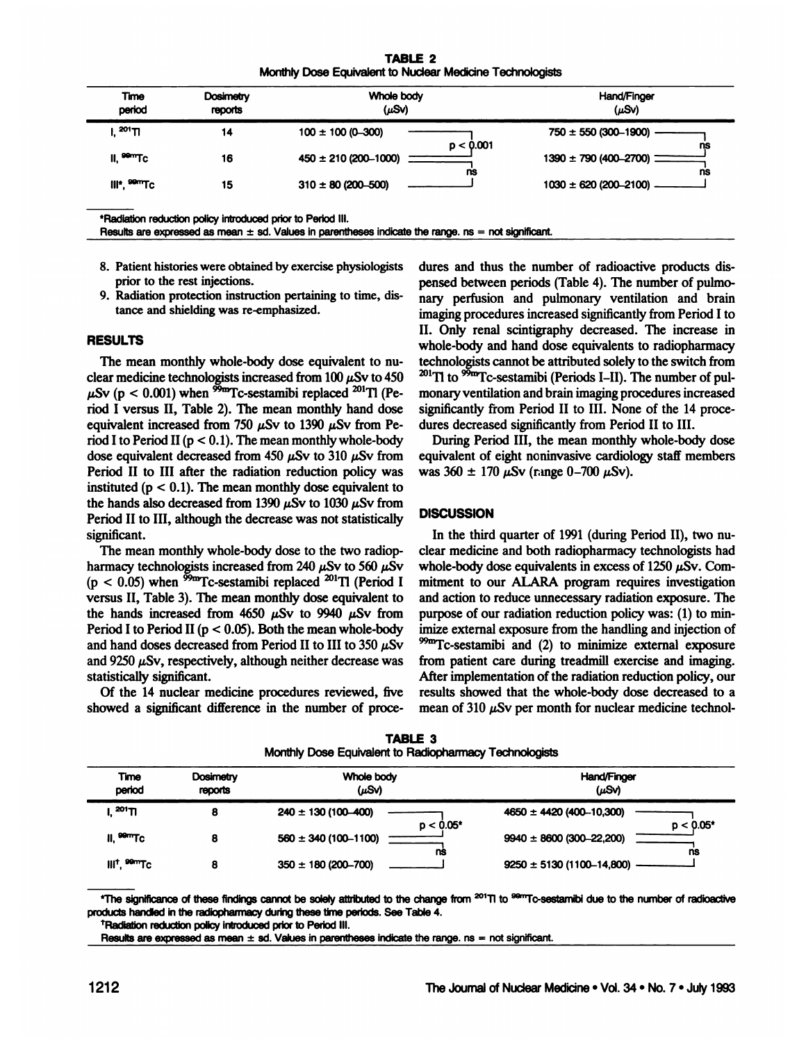**TABLE 2** Monthly Dose Equivalent to Nuclear Medicine Technologists

| <b>Dosimetry</b><br><b>Time</b><br>period<br>reports |    | Whole body<br>$(\mu S\vee)$          | Hand/Finger<br>$(\mu S\vee)$        |  |
|------------------------------------------------------|----|--------------------------------------|-------------------------------------|--|
| 201 <sub>TI</sub>                                    | 14 | $100 \pm 100 (0 - 300)$<br>p < 0.001 | $750 \pm 550 (300 - 1900)$<br>ns    |  |
| $II, \frac{99}{10}TC$                                | 16 | $450 \pm 210 (200 - 1000)$<br>ns     | $1390 \pm 790 (400 - 2700)$ =<br>ns |  |
| III <sup>*</sup> , <sup>99m</sup> Tc                 | 15 | $310 \pm 80$ (200-500)               | $1030 \pm 620 (200 - 2100)$         |  |

\*Radiation reduction policy introduced prior to Period III.

Results are expressed as mean  $\pm$  sd. Values in parentheses indicate the range. ns = not significant.

- 8. Patient histories were obtained by exercise physiologists prior to the rest injections.
- 9. Radiation protection instruction pertaining to time, distance and shielding was re-emphasized.

# **RESULTS**

The mean monthly whole-body dose equivalent to nuclear medicine technologists increased from 100  $\mu$ Sv to 450  $\mu$ Sv (p < 0.001) when  $\frac{95m}{2}$ Tc-sestamibi replaced  $^{201}$ Tl (Period I versus II, Table 2). The mean monthly hand dose equivalent increased from 750  $\mu$ Sv to 1390  $\mu$ Sv from Period I to Period II ( $p < 0.1$ ). The mean monthly whole-body dose equivalent decreased from 450  $\mu$ Sv to 310  $\mu$ Sv from Period II to III after the radiation reduction policy was instituted ( $p < 0.1$ ). The mean monthly dose equivalent to the hands also decreased from 1390  $\mu$ Sv to 1030  $\mu$ Sv from Period II to III, although the decrease was not statistically significant.

The mean monthly whole-body dose to the two radiopharmacy technologists increased from 240  $\mu$ Sv to 560  $\mu$ Sv  $(p < 0.05)$  when <sup>59m</sup>Tc-sestamibi replaced <sup>201</sup>Tl (Period I versus II. Table 3). The mean monthly dose equivalent to the hands increased from 4650  $\mu$ Sv to 9940  $\mu$ Sv from Period I to Period II ( $p < 0.05$ ). Both the mean whole-body and hand doses decreased from Period II to III to 350  $\mu$ Sv and 9250  $\mu$ Sv, respectively, although neither decrease was statistically significant.

Of the 14 nuclear medicine procedures reviewed, five showed a significant difference in the number of procedures and thus the number of radioactive products dispensed between periods (Table 4). The number of pulmonary perfusion and pulmonary ventilation and brain imaging procedures increased significantly from Period I to II. Only renal scintigraphy decreased. The increase in whole-body and hand dose equivalents to radiopharmacy technologists cannot be attributed solely to the switch from  $^{201}$ Tl to  $^{95m}$ Tc-sestamibi (Periods I–II). The number of pulmonary ventilation and brain imaging procedures increased significantly from Period II to III. None of the 14 procedures decreased significantly from Period II to III.

During Period III, the mean monthly whole-body dose equivalent of eight noninvasive cardiology staff members was  $360 \pm 170 \,\mu{\rm Sv}$  (range 0-700  $\mu{\rm Sv}$ ).

## **DISCUSSION**

In the third quarter of 1991 (during Period II), two nuclear medicine and both radiopharmacy technologists had whole-body dose equivalents in excess of 1250  $\mu$ Sv. Commitment to our ALARA program requires investigation and action to reduce unnecessary radiation exposure. The purpose of our radiation reduction policy was: (1) to minimize external exposure from the handling and injection of <sup>99m</sup>Tc-sestamibi and (2) to minimize external exposure from patient care during treadmill exercise and imaging. After implementation of the radiation reduction policy, our results showed that the whole-body dose decreased to a mean of 310  $\mu$ Sv per month for nuclear medicine technol-

| <b>Time</b><br>period                | Whole body<br>Dosimetry<br>$(\mu S\vee)$<br>reports |                                           | Hand/Finger<br>$(\mu S)$                       |  |
|--------------------------------------|-----------------------------------------------------|-------------------------------------------|------------------------------------------------|--|
| $^{201}$ Tl                          |                                                     | $240 \pm 130 (100 - 400)$<br>$p < 0.05^*$ | $4650 \pm 4420 (400 - 10,300)$<br>$p < 0.05^*$ |  |
| II, <sup>99m</sup> Tc                |                                                     | $560 \pm 340 (100 - 1100)$<br>ns          | $9940 \pm 8600 (300 - 22,200)$<br>ns           |  |
| III <sup>t</sup> , <sup>99m</sup> Tc |                                                     | $350 \pm 180 (200 - 700)$                 | $9250 \pm 5130 (1100 - 14,800)$                |  |

**TABLE 3** Monthly Dose Equivalent to Radiopharmacy Technologists

"The significance of these findings cannot be solely attributed to the change from <sup>201</sup>TI to <sup>sem</sup>To-sestamibi due to the number of radioactive products handled in the radiopharmacy during these time periods. See Table 4.

<sup>†</sup>Radiation reduction policy introduced prior to Period III.

Results are expressed as mean  $\pm$  sd. Values in parentheses indicate the range. ns = not significant.